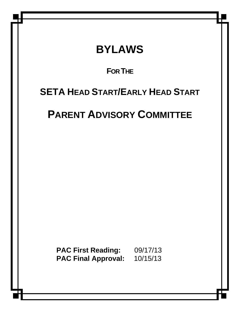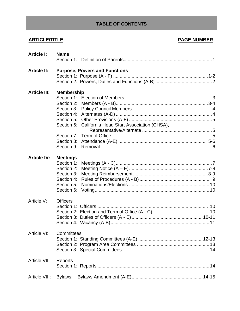# **TABLE OF CONTENTS**

# **ARTICLE/TITLE PAGE NUMBER**

| <b>Article I:</b>   | <b>Name</b>                                                                                                                       |
|---------------------|-----------------------------------------------------------------------------------------------------------------------------------|
| <b>Article II:</b>  | <b>Purpose, Powers and Functions</b>                                                                                              |
| <b>Article III:</b> | <b>Membership</b><br>Section 2:<br>Section 6: California Head Start Association (CHSA),<br>Section 7:<br>Section 8:<br>Section 9: |
| <b>Article IV:</b>  | <b>Meetings</b><br>Section 1:<br>Section 2:<br>Section 3:<br>Section 4:<br>Section 5:<br>Section 6:                               |
| Article V:          | <b>Officers</b>                                                                                                                   |
| Article VI:         | Committees                                                                                                                        |
| Article VII:        | Reports                                                                                                                           |
| Article VIII:       | Bylaws:                                                                                                                           |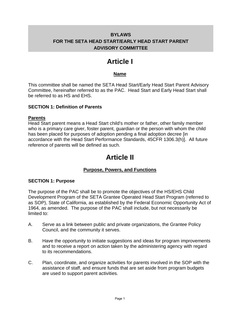# **BYLAWS FOR THE SETA HEAD START/EARLY HEAD START PARENT ADVISORY COMMITTEE**

# **Article I**

# **Name**

This committee shall be named the SETA Head Start/Early Head Start Parent Advisory Committee, hereinafter referred to as the PAC. Head Start and Early Head Start shall be referred to as HS and EHS.

#### **SECTION 1: Definition of Parents**

#### **Parents**

Head Start parent means a Head Start child's mother or father, other family member who is a primary care giver, foster parent, guardian or the person with whom the child has been placed for purposes of adoption pending a final adoption decree [in accordance with the Head Start Performance Standards, 45CFR 1306.3(h)]. All future reference of parents will be defined as such.

# **Article II**

### **Purpose, Powers, and Functions**

#### **SECTION 1: Purpose**

The purpose of the PAC shall be to promote the objectives of the HS/EHS Child Development Program of the SETA Grantee Operated Head Start Program (referred to as SOP), State of California, as established by the Federal Economic Opportunity Act of 1964, as amended. The purpose of the PAC shall include, but not necessarily be limited to:

- A. Serve as a link between public and private organizations, the Grantee Policy Council, and the community it serves.
- B. Have the opportunity to initiate suggestions and ideas for program improvements and to receive a report on action taken by the administering agency with regard to its recommendations.
- C. Plan, coordinate, and organize activities for parents involved in the SOP with the assistance of staff, and ensure funds that are set aside from program budgets are used to support parent activities.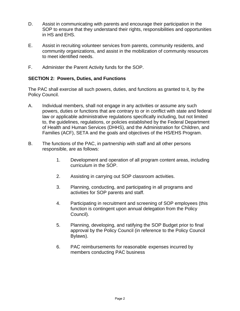- D. Assist in communicating with parents and encourage their participation in the SOP to ensure that they understand their rights, responsibilities and opportunities in HS and EHS.
- E. Assist in recruiting volunteer services from parents, community residents, and community organizations, and assist in the mobilization of community resources to meet identified needs.
- F. Administer the Parent Activity funds for the SOP.

#### **SECTION 2: Powers, Duties, and Functions**

The PAC shall exercise all such powers, duties, and functions as granted to it, by the Policy Council.

- A. Individual members, shall not engage in any activities or assume any such powers, duties or functions that are contrary to or in conflict with state and federal law or applicable administrative regulations specifically including, but not limited to, the guidelines, regulations, or policies established by the Federal Department of Health and Human Services (DHHS), and the Administration for Children, and Families (ACF), SETA and the goals and objectives of the HS/EHS Program.
- B. The functions of the PAC, in partnership with staff and all other persons responsible, are as follows:
	- 1. Development and operation of all program content areas, including curriculum in the SOP.
	- 2. Assisting in carrying out SOP classroom activities.
	- 3. Planning, conducting, and participating in all programs and activities for SOP parents and staff.
	- 4. Participating in recruitment and screening of SOP employees (this function is contingent upon annual delegation from the Policy Council).
	- 5. Planning, developing, and ratifying the SOP Budget prior to final approval by the Policy Council (in reference to the Policy Council Bylaws).
	- 6. PAC reimbursements for reasonable expenses incurred by members conducting PAC business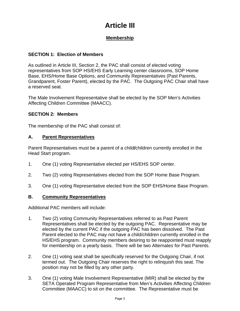# **Article III**

# **Membership**

# **SECTION 1: Election of Members**

As outlined in Article III, Section 2, the PAC shall consist of elected voting representatives from SOP HS/EHS Early Learning center classrooms, SOP Home Base, EHS/Home Base Options, and Community Representatives (Past Parents, Grandparent, Foster Parent), elected by the PAC. The Outgoing PAC Chair shall have a reserved seat.

The Male Involvement Representative shall be elected by the SOP Men's Activities Affecting Children Committee (MAACC).

# **SECTION 2: Members**

The membership of the PAC shall consist of:

### **A. Parent Representatives**

Parent Representatives must be a parent of a child**/**children currently enrolled in the Head Start program.

- 1. One (1) voting Representative elected per HS/EHS SOP center.
- 2. Two (2) voting Representatives elected from the SOP Home Base Program.
- 3. One (1) voting Representative elected from the SOP EHS/Home Base Program.

### **B. Community Representatives**

Additional PAC members will include:

- 1. Two (2) voting Community Representatives referred to as Past Parent Representatives shall be elected by the outgoing PAC. Representative may be elected by the current PAC if the outgoing PAC has been dissolved. The Past Parent elected to the PAC may not have a child/children currently enrolled in the HS/EHS program. Community members desiring to be reappointed must reapply for membership on a yearly basis. There will be two Alternate*s* for Past Parents.
- 2. One (1) voting seat shall be specifically reserved for the Outgoing Chair, if not termed out. The Outgoing Chair reserves the right to relinquish this seat. The position may not be filled by any other party.
- 3. One (1) voting Male Involvement Representative (MIR) shall be elected by the SETA Operated Program Representative from Men's Activities Affecting Children Committee (MAACC) to sit on the committee. The Representative must be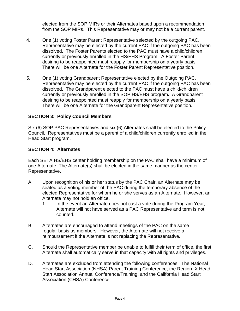elected from the SOP MIRs or their Alternates based upon a recommendation from the SOP MIRs. This Representative may or may not be a current parent.

- 4. One (1) voting Foster Parent Representative selected by the outgoing PAC. Representative may be elected by the current PAC if the outgoing PAC has been dissolved. The Foster Parent*s* elected to the PAC must have a child/children currently or previously enrolled in the HS/EHS Program. A Foster Parent desiring to be reappointed must reapply for membership on a yearly basis. There will be one Alternate for the Foster Parent Representative position.
- 5. One (1) voting Grandparent Representative elected by the Outgoing PAC. Representative may be elected by the current PAC if the outgoing PAC has been dissolved. The Grandparent elected to the PAC must have a child/children currently or previously enrolled in the SOP HS/EHS program**.** A Grandparent desiring to be reappointed must reapply for membership on a yearly basis. There will be one Alternate for the Grandparent Representative position.

#### **SECTION 3: Policy Council Members**

Six (6) SOP PAC Representatives and six (6) Alternates shall be elected to the Policy Council. Representatives must be a parent of a child/children currently enrolled in the Head Start program.

#### **SECTION 4: Alternates**

Each SETA HS/EHS center holding membership on the PAC shall have a minimum of one Alternate. The Alternate(s) shall be elected in the same manner as the center Representative.

- A. Upon recognition of his or her status by the PAC Chair, an Alternate may be seated as a voting member of the PAC during the temporary absence of the elected Representative for whom he or she serves as an Alternate. However, an Alternate may not hold an office.
	- 1. In the event an Alternate does not cast a vote during the Program Year, Alternate will not have served as a PAC Representative and term is not counted.
- B. Alternates are encouraged to attend meetings of the PAC on the same regular basis as members. However, the Alternate will not receive a reimbursement if the Alternate is not replacing the Representative.
- C. Should the Representative member be unable to fulfill their term of office, the first Alternate shall automatically serve in that capacity with all rights and privileges.
- D. Alternates are excluded from attending the following conferences: The National Head Start Association (NHSA) Parent Training Conference, the Region IX Head Start Association Annual Conference/Training, and the California Head Start Association (CHSA) Conference.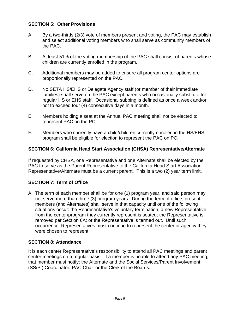#### **SECTION 5: Other Provisions**

- A. By a two-thirds (2/3) vote of members present and voting, the PAC may establish and select additional voting members who shall serve as community members of the PAC.
- B. At least 51% of the voting membership of the PAC shall consist of parents whose children are currently enrolled in the program.
- C. Additional members may be added to ensure all program center options are proportionally represented on the PAC.
- D. No SETA HS/EHS or Delegate Agency staff (or member of their immediate families) shall serve on the PAC except parents who occasionally substitute for regular HS or EHS staff. Occasional subbing is defined as once a week and/or not to exceed four (4) consecutive days in a month.
- E. Members holding a seat at the Annual PAC meeting shall not be elected to represent PAC on the PC.
- F. Members who currently have a child/children currently enrolled in the HS/EHS program shall be eligible for election to represent the PAC on PC.

#### **SECTION 6: California Head Start Association (CHSA) Representative/Alternate**

If requested by CHSA, one Representative and one Alternate shall be elected by the PAC to serve as the Parent Representative to the California Head Start Association. Representative/Alternate must be a current parent. This is a two (2) year term limit.

### **SECTION 7: Term of Office**

A. The term of each member shall be for one (1) program year, and said person may not serve more than three (3) program years. During the term of office, present members (and Alternates) shall serve in that capacity until one of the following situations occur: the Representative's voluntary termination; a new Representative from the center/program they currently represent is seated; the Representative is removed per Section 6A; or the Representative is termed out. Until such occurrence, Representatives must continue to represent the center or agency they were chosen to represent.

#### **SECTION 8: Attendance**

It is each center Representative's responsibility to attend all PAC meetings and parent center meetings on a regular basis. If a member is unable to attend any PAC meeting, that member must notify: the Alternate and the Social Services/Parent Involvement (SS/PI) Coordinator, PAC Chair or the Clerk of the Boards.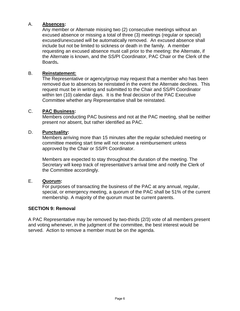#### A. **Absences:**

 Any member or Alternate missing two (2) consecutive meetings without an excused absence or missing a total of three (3) meetings (regular or special) excused/unexcused will be automatically removed. An excused absence shall include but not be limited to sickness or death in the family. A member requesting an excused absence must call prior to the meeting: the Alternate, if the Alternate is known, and the SS/PI Coordinator, PAC Chair or the Clerk of the Boards**.** 

#### B. **Reinstatement:**

The Representative or agency/group may request that a member who has been removed due to absences be reinstated in the event the Alternate declines. This request must be in writing and submitted to the Chair and SS/PI Coordinator within ten (10) calendar days. It is the final decision of the PAC Executive Committee whether any Representative shall be reinstated.

#### C. **PAC Business:**

Members conducting PAC business and not at the PAC meeting, shall be neither present nor absent, but rather identified as PAC.

#### D. **Punctuality:**

Members arriving more than 15 minutes after the regular scheduled meeting or committee meeting start time will not receive a reimbursement unless approved by the Chair or SS/PI Coordinator.

Members are expected to stay throughout the duration of the meeting. The Secretary will keep track of representative's arrival time and notify the Clerk of the Committee accordingly.

#### E. **Quorum:**

For purposes of transacting the business of the PAC at any annual, regular, special, or emergency meeting, a quorum of the PAC shall be 51% of the current membership. A majority of the quorum must be current parents.

#### **SECTION 9: Removal**

A PAC Representative may be removed by two-thirds (2/3) vote of all members present and voting whenever, in the judgment of the committee, the best interest would be served. Action to remove a member must be on the agenda.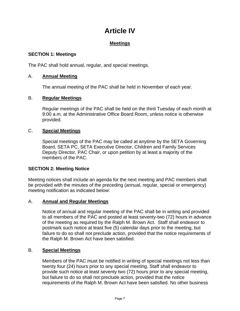# **Article IV**

# **Meetings**

#### **SECTION 1: Meetings**

The PAC shall hold annual, regular, and special meetings.

### A. **Annual Meeting**

The annual meeting of the PAC shall be held in November of each year.

#### B. **Regular Meetings**

Regular meetings of the PAC shall be held on the third Tuesday of each month at 9:00 a.m. at the Administrative Office Board Room, unless notice is otherwise provided.

### C. **Special Meetings**

Special meetings of the PAC may be called at anytime by the SETA Governing Board, SETA PC, SETA Executive Director, Children and Family Services Deputy Director, PAC Chair, or upon petition by at least a majority of the members of the PAC.

#### **SECTION 2: Meeting Notice**

Meeting notices shall include an agenda for the next meeting and PAC members shall be provided with the minutes of the preceding (annual, regular, special or emergency) meeting notification as indicated below:

#### A. **Annual and Regular Meetings**

Notice of annual and regular meeting of the PAC shall be in writing and provided to all members of the PAC and posted at least seventy-two (72) hours in advance of the meeting as required by the Ralph M. Brown Act. Staff shall endeavor to postmark such notice at least five (5) calendar days prior to the meeting, but failure to do so shall not preclude action, provided that the notice requirements of the Ralph M. Brown Act have been satisfied.

#### B. **Special Meetings**

Members of the PAC must be notified in writing of special meetings not less than twenty four (24) hours prior to any special meeting. Staff shall endeavor to provide such notice at least seventy two (72) hours prior to any special meeting, but failure to do so shall not preclude action, provided that the notice requirements of the Ralph M. Brown Act have been satisfied. No other business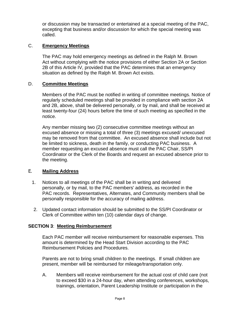or discussion may be transacted or entertained at a special meeting of the PAC, excepting that business and/or discussion for which the special meeting was called.

#### C. **Emergency Meetings**

The PAC may hold emergency meetings as defined in the Ralph M. Brown Act without complying with the notice provisions of either Section 2A or Section 2B of this Article IV, provided that the PAC determines that an emergency situation as defined by the Ralph M. Brown Act exists.

#### D. **Committee Meetings**

Members of the PAC must be notified in writing of committee meetings. Notice of regularly scheduled meetings shall be provided in compliance with section 2A and 2B, above, shall be delivered personally, or by mail, and shall be received at least twenty-four (24) hours before the time of such meeting as specified in the notice.

Any member missing two (2) consecutive committee meetings without an excused absence or missing a total of three (3) meetings excused/ unexcused may be removed from that committee. An excused absence shall include but not be limited to sickness, death in the family, or conducting PAC business. A member requesting an excused absence must call the PAC Chair, SS/PI Coordinator or the Clerk of the Boards and request an excused absence prior to the meeting.

#### E. **Mailing Address**

- 1. Notices to all meetings of the PAC shall be in writing and delivered personally, or by mail, to the PAC members' address, as recorded in the PAC records. Representatives, Alternates, and Community members shall be personally responsible for the accuracy of mailing address.
- 2. Updated contact information should be submitted to the SS/PI Coordinator or Clerk of Committee within ten (10) calendar days of change.

#### **SECTION 3**: **Meeting Reimbursement**

 Each PAC member will receive reimbursement for reasonable expenses. This amount is determined by the Head Start Division according to the PAC Reimbursement Policies and Procedures.

 Parents are not to bring small children to the meetings. If small children are present, member will be reimbursed for mileage/transportation only.

A. Members will receive reimbursement for the actual cost of child care (not to exceed \$30 in a 24-hour day, when attending conferences, workshops, trainings, orientation, Parent Leadership Institute or participation in the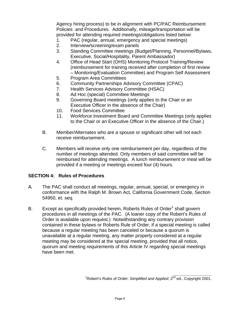Agency hiring process) to be in alignment with PC/PAC Reimbursement Policies and Procedures. Additionally, mileage/transportation will be provided for attending required meetings/obligations listed below:

- 1. PAC (regular, annual, emergency and special meetings)
- 2. Interview/screening/exam panels
- 3. Standing Committee meetings (Budget/Planning, Personnel/Bylaws, Executive, Social/Hospitality, Parent Ambassador)
- 4. Office of Head Start (OHS) Monitoring Protocol Training/Review (reimbursement for training received after completion of first review – Monitoring/Evaluation Committee) and Program Self Assessment
- 5. Program Area Committees
- 6. Community Partnerships Advisory Committee (CPAC)
- 7. Health Services Advisory Committee (HSAC)
- 8. Ad Hoc (special) Committee Meetings
- 9. Governing Board meetings (only applies to the Chair or an Executive Officer in the absence of the Chair)
- 10. Food Services Committee
- 11. Workforce Investment Board and Committee Meetings (only applies to the Chair or an Executive Officer in the absence of the Chair.)
- B. Member/Alternates who are a spouse or significant other will not each receive reimbursement.
- C. Members will receive only one reimbursement per day, regardless of the number of meetings attended. Only members of said committee will be reimbursed for attending meetings. A lunch reimbursement or meal will be provided if a meeting or meetings exceed four (4) hours.

### **SECTION 4: Rules of Procedures**

.

- A. The PAC shall conduct all meetings, regular, annual, special, or emergency in conformance with the Ralph M. Brown Act, California Government Code, Section 54950, et. seq.
- B. Except as specifically provided herein, Roberts Rules of Order<sup>1</sup> shall govern procedures in all meetings of the PAC. (A loaner copy of the Robert's Rules of Order is available upon request.) Notwithstanding any contrary provision contained in these bylaws or Roberts Rule of Order, if a special meeting is called because a regular meeting has been canceled or because a quorum is unavailable at a regular meeting, any matter properly considered at a regular meeting may be considered at the special meeting, provided that all notice, quorum and meeting requirements of this Article IV regarding special meetings have been met.

<sup>&</sup>lt;sup>1</sup> Robert's Rules of Order: *Simplified and Applied*, 2<sup>nd</sup> ed., Copyright 2001.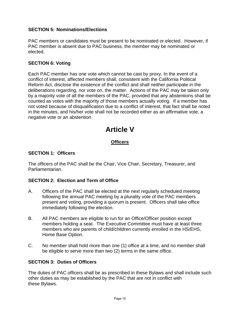### **SECTION 5: Nominations/Elections**

PAC members or candidates must be present to be nominated or elected. However, if PAC member is absent due to PAC business, the member may be nominated or elected.

#### **SECTION 6: Voting**

Each PAC member has one vote which cannot be cast by proxy. In the event of a conflict of interest, affected members shall, consistent with the California Political Reform Act, disclose the existence of the conflict and shall neither participate in the deliberations regarding, nor vote on, the matter. Actions of the PAC may be taken only by a majority vote of all the members of the PAC, provided that any abstentions shall be counted as votes with the majority of those members actually voting. If a member has not voted because of disqualification due to a conflict of interest, that fact shall be noted in the minutes, and his/her vote shall not be recorded either as an affirmative vote, a negative vote or an abstention.

# **Article V**

# **Officers**

#### **SECTION 1: Officers**

The officers of the PAC shall be the Chair, Vice Chair, Secretary, Treasurer, and Parliamentarian.

#### **SECTION 2: Election and Term of Office**

- A. Officers of the PAC shall be elected at the next regularly scheduled meeting following the annual PAC meeting by a plurality vote of the PAC members present and voting, providing a quorum is present. Officers shall take office immediately following the election.
- B. All PAC members are eligible to run for an Office/Officer position except members holding a seat. The Executive Committee must have at least three members who are parents of child/children currently enrolled in the HS/EHS, Home Base Option.
- C. No member shall hold more than one (1) office at a time, and no member shall be eligible to serve more than two (2) terms in the same office.

#### **SECTION 3: Duties of Officers**

The duties of PAC officers shall be as prescribed in these Bylaws and shall include such other duties as may be established by the PAC that are not in conflict with these Bylaws.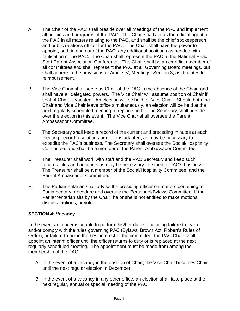- A. The Chair of the PAC shall preside over all meetings of the PAC and implement all policies and programs of the PAC. The Chair shall act as the official agent of the PAC in all matters relating to the PAC, and shall be the chief spokesperson and public relations officer for the PAC. The Chair shall have the power to appoint, both in and out of the PAC, any additional positions as needed with ratification of the PAC. The Chair shall represent the PAC at the National Head Start Parent Association Conference. The Chair shall be an ex-officio member of all committees and shall represent the PAC at all Governing Board meetings, but shall adhere to the provisions of Article IV, Meetings; Section 3, as it relates to reimbursement.
- B. The Vice Chair shall serve as Chair of the PAC in the absence of the Chair, and shall have all delegated powers. The Vice Chair will assume position of Chair if seat of Chair is vacated. An election will be held for Vice Chair. Should both the Chair and Vice Chair leave office simultaneously, an election will be held at the next regularly scheduled meeting to replace both. The Secretary shall preside over the election in this event. The Vice Chair shall oversee the Parent Ambassador Committee.
- C. The Secretary shall keep a record of the current and preceding minutes at each meeting, record resolutions or motions adapted, as may be necessary to expedite the PAC's business. The Secretary shall oversee the Social/Hospitality Committee, and shall be a member of the Parent Ambassador Committee.
- D. The Treasurer shall work with staff and the PAC Secretary and keep such records, files and accounts as may be necessary to expedite PAC's business. The Treasurer shall be a member of the Social/Hospitality Committee, and the Parent Ambassador Committee.
- E. The Parliamentarian shall advise the presiding officer on matters pertaining to Parliamentary procedure and oversee the Personnel/Bylaws Committee. If the Parliamentarian sits by the Chair, he or she is not entitled to make motions, discuss motions, or vote.

#### **SECTION 4: Vacancy**

In the event an officer is unable to perform his/her duties, including failure to learn and/or comply with the rules governing PAC (Bylaws, Brown Act, Robert's Rules of Order), or failure to act in the best interest of the committee; the PAC Chair shall appoint an interim officer until the officer returns to duty or is replaced at the next regularly scheduled meeting. The appointment must be made from among the membership of the PAC.

- A. In the event of a vacancy in the position of Chair, the Vice Chair becomes Chair until the next regular election in December.
- B. In the event of a vacancy in any other office, an election shall take place at the next regular, annual or special meeting of the PAC.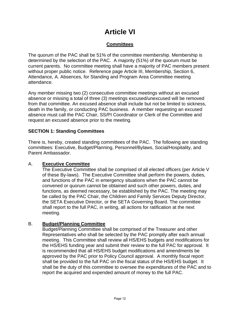# **Article VI**

# **Committees**

The quorum of the PAC shall be 51% of the committee membership. Membership is determined by the selection of the PAC. A majority (51%) of the quorum must be current parents. No committee meeting shall have a majority of PAC members present without proper public notice. Reference page Article III, Membership, Section 6, Attendance, A. Absences, for Standing and Program Area Committee meeting attendance.

Any member missing two (2) consecutive committee meetings without an excused absence or missing a total of three (3) meetings excused/unexcused will be removed from that committee. An excused absence shall include but not be limited to sickness, death in the family, or conducting PAC business. A member requesting an excused absence must call the PAC Chair, SS/PI Coordinator or Clerk of the Committee and request an excused absence prior to the meeting.

#### **SECTION 1: Standing Committees**

There is, hereby, created standing committees of the PAC. The following are standing committees: Executive, Budget/Planning, Personnel/Bylaws, Social/Hospitality, and Parent Ambassador.

#### A. **Executive Committee**

The Executive Committee shall be comprised of all elected officers (per Article V of these By-laws). The Executive Committee shall perform the powers, duties, and functions of the PAC in emergency situations when the PAC cannot be convened or quorum cannot be obtained and such other powers, duties, and functions, as deemed necessary, be established by the PAC. The meeting may be called by the PAC Chair, the Children and Family Services Deputy Director, the SETA Executive Director, or the SETA Governing Board. The committee shall report to the full PAC, in writing, all actions for ratification at the next meeting.

#### B. **Budget/Planning Committee**

 Budget/Planning Committee shall be comprised of the Treasurer and other Representatives who shall be selected by the PAC promptly after each annual meeting. This Committee shall review all HS/EHS budgets and modifications for the HS/EHS funding year and submit their review to the full PAC for approval. It is recommended that all HS/EHS budget modifications and amendments be approved by the PAC prior to Policy Council approval. A monthly fiscal report shall be provided to the full PAC on the fiscal status of the HS/EHS budget. It shall be the duty of this committee to oversee the expenditures of the PAC and to report the acquired and expended amount of money to the full PAC.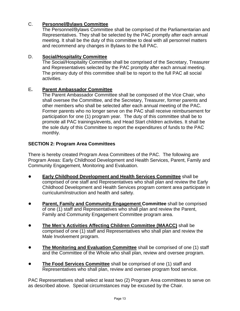# C. **Personnel/Bylaws Committee**

The Personnel/Bylaws Committee shall be comprised of the Parliamentarian and Representatives. They shall be selected by the PAC promptly after each annual meeting. It shall be the duty of this committee to deal with all personnel matters and recommend any changes in Bylaws to the full PAC.

### D. **Social/Hospitality Committee**

The Social/Hospitality Committee shall be comprised of the Secretary, Treasurer and Representatives selected by the PAC promptly after each annual meeting. The primary duty of this committee shall be to report to the full PAC all social activities.

#### E**. Parent Ambassador Committee**

The Parent Ambassador Committee shall be composed of the Vice Chair, who shall oversee the Committee, and the Secretary, Treasurer, former parents and other members who shall be selected after each annual meeting of the PAC. Former parents who no longer serve on the PAC shall receive reimbursement for participation for one (1) program year. The duty of this committee shall be to promote all PAC trainings/events, and Head Start children activities. It shall be the sole duty of this Committee to report the expenditures of funds to the PAC monthly.

#### **SECTION 2: Program Area Committees**

There is hereby created Program Area Committees of the PAC. The following are Program Areas: Early Childhood Development and Health Services, Parent, Family and Community Engagement, Monitoring and Evaluation.

- **Early Childhood Development and Health Services Committee** shall be comprised of one staff and Representatives who shall plan and review the Early Childhood Development and Health Services program content area participate in curriculum/instruction and health and safety.
- **Parent, Family and Community Engagement Committee** shall be comprised of one (1) staff and Representatives who shall plan and review the Parent, Family and Community Engagement Committee program area.
- ! **The Men's Activities Affecting Children Committee (MAACC)** shall be comprised of one (1) staff and Representatives who shall plan and review the Male Involvement program.
- **The Monitoring and Evaluation Committee** shall be comprised of one (1) staff and the Committee of the Whole who shall plan, review and oversee program.
- ! **The Food Services Committee** shall be comprised of one (1) staff and Representatives who shall plan, review and oversee program food service.

PAC Representatives shall select at least two (2) Program Area committees to serve on as described above.Special circumstances may be excused by the Chair.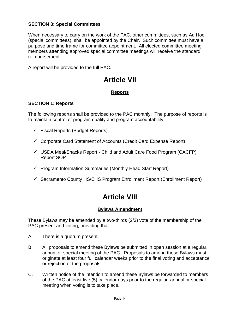## **SECTION 3: Special Committees**

When necessary to carry on the work of the PAC, other committees, such as Ad Hoc (special committees), shall be appointed by the Chair. Such committee must have a purpose and time frame for committee appointment. All elected committee meeting members attending approved special committee meetings will receive the standard reimbursement.

A report will be provided to the full PAC.

# **Article VII**

# **Reports**

#### **SECTION 1: Reports**

The following reports shall be provided to the PAC monthly. The purpose of reports is to maintain control of program quality and program accountability:

- $\checkmark$  Fiscal Reports (Budget Reports)
- $\checkmark$  Corporate Card Statement of Accounts (Credit Card Expense Report)
- $\checkmark$  USDA Meal/Snacks Report Child and Adult Care Food Program (CACFP) Report SOP
- $\checkmark$  Program Information Summaries (Monthly Head Start Report)
- $\checkmark$  Sacramento County HS/EHS Program Enrollment Report (Enrollment Report)

# **Article VIII**

### **Bylaws Amendment**

These Bylaws may be amended by a two-thirds (2/3) vote of the membership of the PAC present and voting, providing that:

- A. There is a quorum present.
- B. All proposals to amend these Bylaws be submitted in open session at a regular*,*  annual or special meeting of the PAC. Proposals to amend these Bylaws must originate at least four full calendar weeks prior to the final voting and acceptance or rejection of the proposals.
- C. Written notice of the intention to amend these Bylaws be forwarded to members of the PAC at least five (5) calendar days prior to the regular*,* annual or special meeting when voting is to take place.